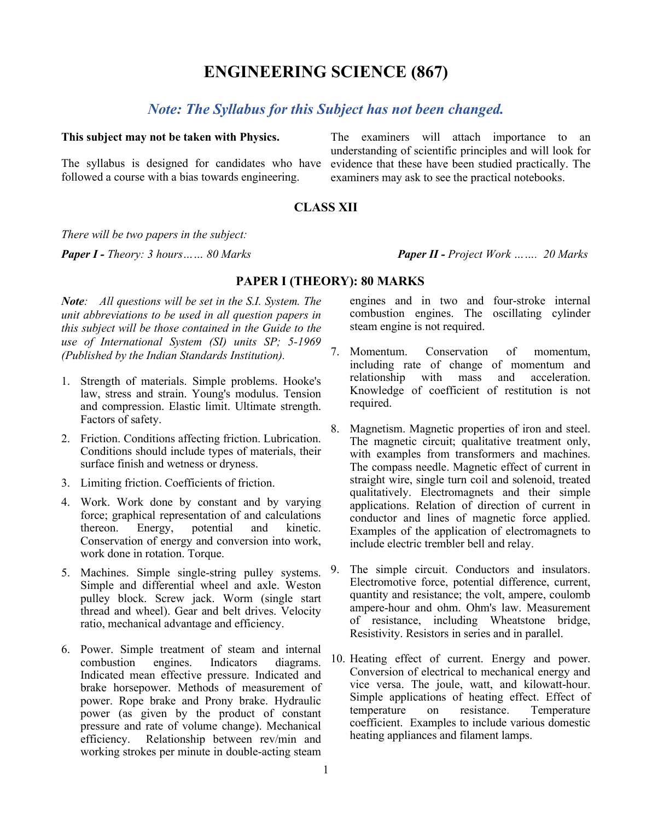# **ENGINEERING SCIENCE (867)**

# *Note: The Syllabus for this Subject has not been changed.*

#### **This subject may not be taken with Physics.**

The syllabus is designed for candidates who have followed a course with a bias towards engineering.

The examiners will attach importance to an understanding of scientific principles and will look for evidence that these have been studied practically. The examiners may ask to see the practical notebooks.

## **CLASS XII**

*There will be two papers in the subject:*

*Paper I - Theory: 3 hours…… 80 Marks Paper II - Project Work ……. 20 Marks*

## **PAPER I (THEORY): 80 MARKS**

*Note: All questions will be set in the S.I. System. The unit abbreviations to be used in all question papers in this subject will be those contained in the Guide to the use of International System (SI) units SP; 5-1969 (Published by the Indian Standards Institution).*

- 1. Strength of materials. Simple problems. Hooke's law, stress and strain. Young's modulus. Tension and compression. Elastic limit. Ultimate strength. Factors of safety.
- 2. Friction. Conditions affecting friction. Lubrication. Conditions should include types of materials, their surface finish and wetness or dryness.
- 3. Limiting friction. Coefficients of friction.
- 4. Work. Work done by constant and by varying force; graphical representation of and calculations thereon. Energy, potential and kinetic. Conservation of energy and conversion into work, work done in rotation. Torque.
- 5. Machines. Simple single-string pulley systems. Simple and differential wheel and axle. Weston pulley block. Screw jack. Worm (single start thread and wheel). Gear and belt drives. Velocity ratio, mechanical advantage and efficiency.
- 6. Power. Simple treatment of steam and internal combustion engines. Indicators diagrams. Indicated mean effective pressure. Indicated and brake horsepower. Methods of measurement of power. Rope brake and Prony brake. Hydraulic power (as given by the product of constant pressure and rate of volume change). Mechanical efficiency. Relationship between rev/min and working strokes per minute in double-acting steam

engines and in two and four-stroke internal combustion engines. The oscillating cylinder steam engine is not required.

- 7. Momentum. Conservation of momentum, including rate of change of momentum and<br>relationship with mass and acceleration. acceleration. Knowledge of coefficient of restitution is not required.
- 8. Magnetism. Magnetic properties of iron and steel. The magnetic circuit; qualitative treatment only, with examples from transformers and machines. The compass needle. Magnetic effect of current in straight wire, single turn coil and solenoid, treated qualitatively. Electromagnets and their simple applications. Relation of direction of current in conductor and lines of magnetic force applied. Examples of the application of electromagnets to include electric trembler bell and relay.
- 9. The simple circuit. Conductors and insulators. Electromotive force, potential difference, current, quantity and resistance; the volt, ampere, coulomb ampere-hour and ohm. Ohm's law. Measurement of resistance, including Wheatstone bridge, Resistivity. Resistors in series and in parallel.
- 10. Heating effect of current. Energy and power. Conversion of electrical to mechanical energy and vice versa. The joule, watt, and kilowatt-hour. Simple applications of heating effect. Effect of temperature on resistance. Temperature coefficient. Examples to include various domestic heating appliances and filament lamps.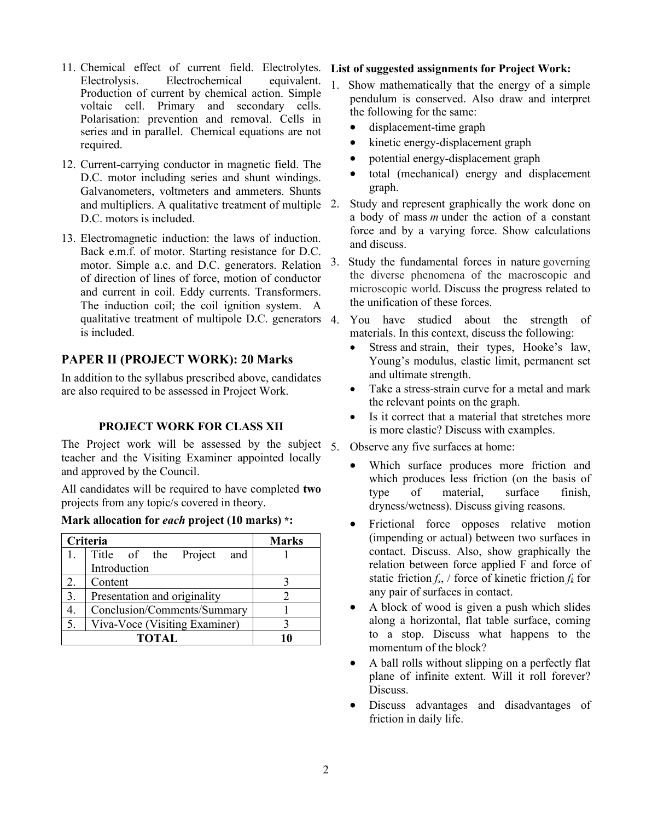- 11. Chemical effect of current field. Electrolytes. Electrolysis. Electrochemical equivalent. Production of current by chemical action. Simple voltaic cell. Primary and secondary cells. Polarisation: prevention and removal. Cells in series and in parallel. Chemical equations are not required.
- 12. Current-carrying conductor in magnetic field. The D.C. motor including series and shunt windings. Galvanometers, voltmeters and ammeters. Shunts and multipliers. A qualitative treatment of multiple 2. D.C. motors is included.
- 13. Electromagnetic induction: the laws of induction. Back e.m.f. of motor. Starting resistance for D.C. motor. Simple a.c. and D.C. generators. Relation of direction of lines of force, motion of conductor and current in coil. Eddy currents. Transformers. The induction coil; the coil ignition system. A qualitative treatment of multipole D.C. generators 4. is included.

## **PAPER II (PROJECT WORK): 20 Marks**

In addition to the syllabus prescribed above, candidates are also required to be assessed in Project Work.

## **PROJECT WORK FOR CLASS XII**

The Project work will be assessed by the subject  $\zeta$ teacher and the Visiting Examiner appointed locally and approved by the Council.

All candidates will be required to have completed **two** projects from any topic/s covered in theory.

### **Mark allocation for** *each* **project (10 marks) \*:**

|    | Criteria                       | <b>Marks</b> |  |  |
|----|--------------------------------|--------------|--|--|
|    | 1. Title of the Project<br>and |              |  |  |
|    | Introduction                   |              |  |  |
| 2. | Content                        |              |  |  |
| 3. | Presentation and originality   |              |  |  |
|    | Conclusion/Comments/Summary    |              |  |  |
| 5. | Viva-Voce (Visiting Examiner)  |              |  |  |
|    | <b>TOTAL</b>                   |              |  |  |

### **List of suggested assignments for Project Work:**

- 1. Show mathematically that the energy of a simple pendulum is conserved. Also draw and interpret the following for the same:
	- displacement-time graph
	- kinetic energy-displacement graph
	- potential energy-displacement graph
	- total (mechanical) energy and displacement graph.
- Study and represent graphically the work done on a body of mass *m* under the action of a constant force and by a varying force. Show calculations and discuss.
- 3. Study the fundamental forces in nature governing the diverse phenomena of the macroscopic and microscopic world. Discuss the progress related to the unification of these forces.
- You have studied about the strength of materials. In this context, discuss the following:
	- Stress and strain, their types, Hooke's law, Young's modulus, elastic limit, permanent set and ultimate strength.
	- Take a stress-strain curve for a metal and mark the relevant points on the graph.
	- Is it correct that a material that stretches more is more elastic? Discuss with examples.

### Observe any five surfaces at home:

- Which surface produces more friction and which produces less friction (on the basis of type of material, surface finish, dryness/wetness). Discuss giving reasons.
- Frictional force opposes relative motion (impending or actual) between two surfaces in contact. Discuss. Also, show graphically the relation between force applied F and force of static friction  $f_s$ , / force of kinetic friction  $f_k$  for any pair of surfaces in contact.
- A block of wood is given a push which slides along a horizontal, flat table surface, coming to a stop. Discuss what happens to the momentum of the block?
- A ball rolls without slipping on a perfectly flat plane of infinite extent. Will it roll forever? Discuss.
- Discuss advantages and disadvantages of friction in daily life.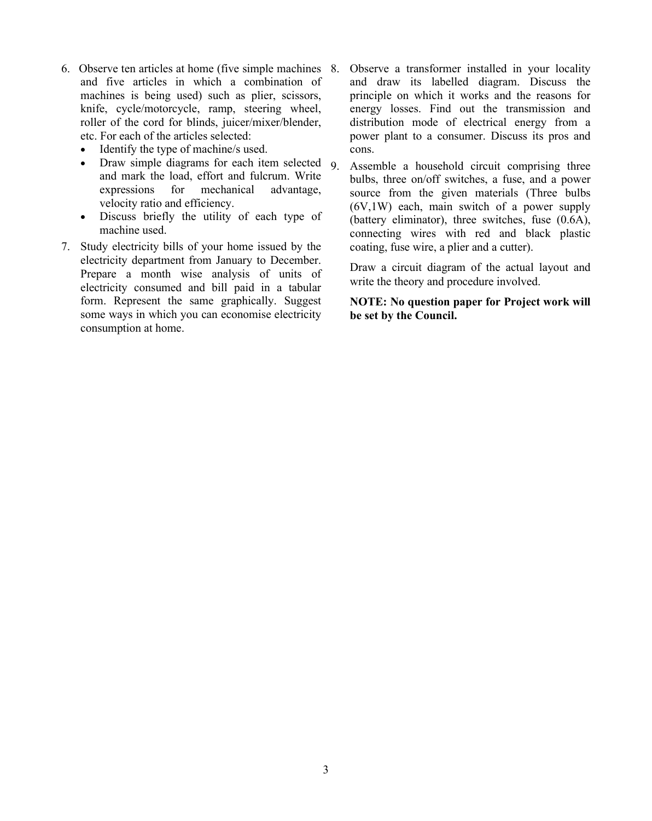- 6. Observe ten articles at home (five simple machines and five articles in which a combination of machines is being used) such as plier, scissors, knife, cycle/motorcycle, ramp, steering wheel, roller of the cord for blinds, juicer/mixer/blender, etc. For each of the articles selected:
	- Identify the type of machine/s used.
	- Draw simple diagrams for each item selected 9 and mark the load, effort and fulcrum. Write expressions for mechanical advantage, velocity ratio and efficiency.
	- Discuss briefly the utility of each type of machine used.
- 7. Study electricity bills of your home issued by the electricity department from January to December. Prepare a month wise analysis of units of electricity consumed and bill paid in a tabular form. Represent the same graphically. Suggest some ways in which you can economise electricity consumption at home.
- Observe a transformer installed in your locality and draw its labelled diagram. Discuss the principle on which it works and the reasons for energy losses. Find out the transmission and distribution mode of electrical energy from a power plant to a consumer. Discuss its pros and cons.
- Assemble a household circuit comprising three bulbs, three on/off switches, a fuse, and a power source from the given materials (Three bulbs (6V,1W) each, main switch of a power supply (battery eliminator), three switches, fuse (0.6A), connecting wires with red and black plastic coating, fuse wire, a plier and a cutter).

Draw a circuit diagram of the actual layout and write the theory and procedure involved.

**NOTE: No question paper for Project work will be set by the Council.**